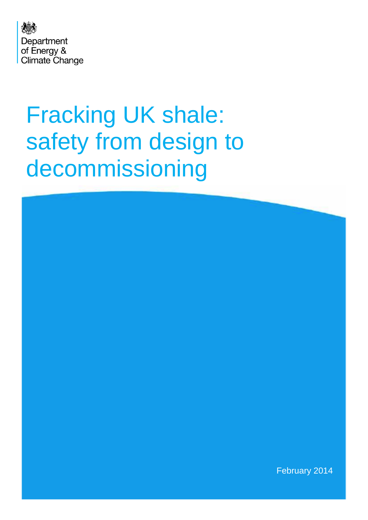

# Fracking UK shale: safety from design to decommissioning

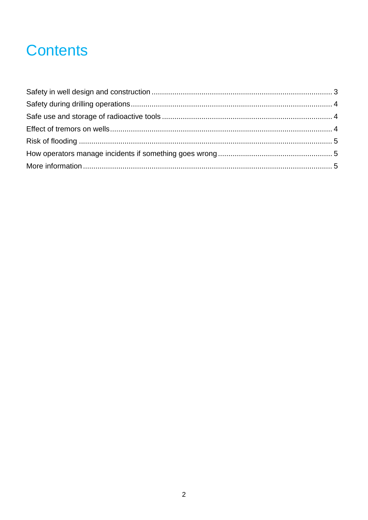# **Contents**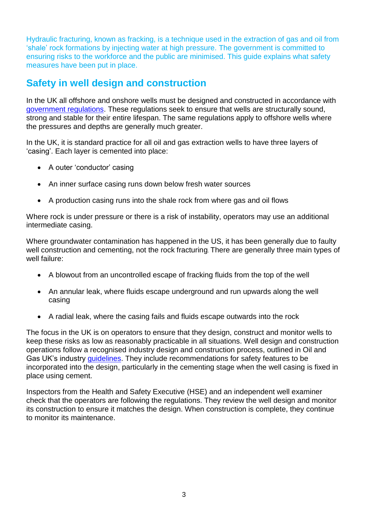Hydraulic fracturing, known as fracking, is a technique used in the extraction of gas and oil from 'shale' rock formations by injecting water at high pressure. The government is committed to ensuring risks to the workforce and the public are minimised. This guide explains what safety measures have been put in place.

### <span id="page-2-0"></span>**Safety in well design and construction**

In the UK all offshore and onshore wells must be designed and constructed in accordance with [government regulations.](http://www.legislation.gov.uk/uksi/1996/913/contents/made) These regulations seek to ensure that wells are structurally sound, strong and stable for their entire lifespan. The same regulations apply to offshore wells where the pressures and depths are generally much greater.

In the UK, it is standard practice for all oil and gas extraction wells to have three layers of 'casing'. Each layer is cemented into place:

- A outer 'conductor' casing
- An inner surface casing runs down below fresh water sources
- A production casing runs into the shale rock from where gas and oil flows

Where rock is under pressure or there is a risk of instability, operators may use an additional intermediate casing.

Where groundwater contamination has happened in the US, it has been generally due to faulty well construction and cementing, not the rock fracturing. There are generally three main types of well failure:

- A blowout from an uncontrolled escape of fracking fluids from the top of the well
- An annular leak, where fluids escape underground and run upwards along the well casing
- A radial leak, where the casing fails and fluids escape outwards into the rock

The focus in the UK is on operators to ensure that they design, construct and monitor wells to keep these risks as low as reasonably practicable in all situations. Well design and construction operations follow a recognised industry design and construction process, outlined in Oil and Gas UK's industry [guidelines.](http://www.api.org/policy-and-issues/policy-items/hf/api_hf1_hydraulic_fracturing_operations.aspx) They include recommendations for safety features to be incorporated into the design, particularly in the cementing stage when the well casing is fixed in place using cement.

Inspectors from the Health and Safety Executive (HSE) and an independent well examiner check that the operators are following the regulations. They review the well design and monitor its construction to ensure it matches the design. When construction is complete, they continue to monitor its maintenance.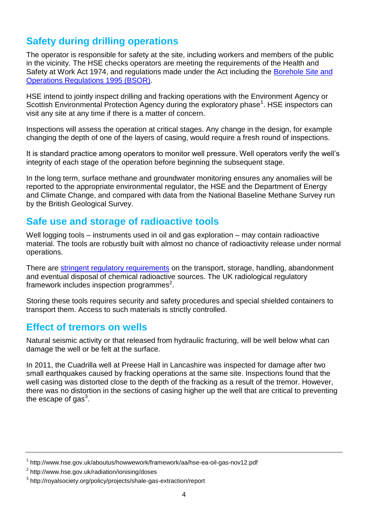## <span id="page-3-0"></span>**Safety during drilling operations**

The operator is responsible for safety at the site, including workers and members of the public in the vicinity. The HSE checks operators are meeting the requirements of the Health and Safety at Work Act 1974, and regulations made under the Act including the [Borehole Site and](http://www.legislation.gov.uk/uksi/1995/2038/contents/made)  [Operations Regulations 1995 \(BSOR\).](http://www.legislation.gov.uk/uksi/1995/2038/contents/made)

HSE intend to jointly inspect drilling and fracking operations with the Environment Agency or Scottish Environmental Protection Agency during the exploratory phase<sup>1</sup>. HSE inspectors can visit any site at any time if there is a matter of concern.

Inspections will assess the operation at critical stages. Any change in the design, for example changing the depth of one of the layers of casing, would require a fresh round of inspections.

It is standard practice among operators to monitor well pressure. Well operators verify the well's integrity of each stage of the operation before beginning the subsequent stage.

In the long term, surface methane and groundwater monitoring ensures any anomalies will be reported to the appropriate environmental regulator, the HSE and the Department of Energy and Climate Change, and compared with data from the National Baseline Methane Survey run by the British Geological Survey.

#### <span id="page-3-1"></span>**Safe use and storage of radioactive tools**

Well logging tools – instruments used in oil and gas exploration – may contain radioactive material. The tools are robustly built with almost no chance of radioactivity release under normal operations.

There are [stringent regulatory requirements](http://www.environment-agency.gov.uk/business/142631.aspx) on the transport, storage, handling, abandonment and eventual disposal of chemical radioactive sources. The UK radiological regulatory framework includes inspection programmes<sup>2</sup>.

Storing these tools requires security and safety procedures and special shielded containers to transport them. Access to such materials is strictly controlled.

#### <span id="page-3-2"></span>**Effect of tremors on wells**

Natural seismic activity or that released from hydraulic fracturing, will be well below what can damage the well or be felt at the surface.

In 2011, the Cuadrilla well at Preese Hall in Lancashire was inspected for damage after two small earthquakes caused by fracking operations at the same site. Inspections found that the well casing was distorted close to the depth of the fracking as a result of the tremor. However, there was no distortion in the sections of casing higher up the well that are critical to preventing the escape of gas $^3$ .

<sup>&</sup>lt;sup>1</sup> http://www.hse.gov.uk/aboutus/howwework/framework/aa/hse-ea-oil-gas-nov12.pdf

<sup>&</sup>lt;sup>2</sup> http://www.hse.gov.uk/radiation/ionising/doses

<sup>&</sup>lt;sup>3</sup> http://royalsociety.org/policy/projects/shale-gas-extraction/report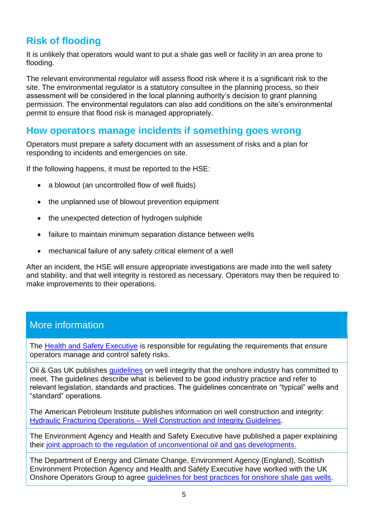# <span id="page-4-0"></span>**Risk of flooding**

It is unlikely that operators would want to put a shale gas well or facility in an area prone to flooding.

The relevant environmental regulator will assess flood risk where it is a significant risk to the site. The environmental regulator is a statutory consultee in the planning process, so their assessment will be considered in the local planning authority's decision to grant planning permission. The environmental regulators can also add conditions on the site's environmental permit to ensure that flood risk is managed appropriately.

#### <span id="page-4-1"></span>**How operators manage incidents if something goes wrong**

Operators must prepare a safety document with an assessment of risks and a plan for responding to incidents and emergencies on site.

If the following happens, it must be reported to the HSE:

- a blowout (an uncontrolled flow of well fluids)
- the unplanned use of blowout prevention equipment
- the unexpected detection of hydrogen sulphide
- failure to maintain minimum separation distance between wells
- mechanical failure of any safety critical element of a well

After an incident, the HSE will ensure appropriate investigations are made into the well safety and stability, and that well integrity is restored as necessary. Operators may then be required to make improvements to their operations.

#### <span id="page-4-2"></span>More information

The [Health and Safety Executive](http://www.hse.gov.uk/offshore/unconventional-gas.htm) is responsible for regulating the requirements that ensure operators manage and control safety risks.

Oil & Gas UK publishes [guidelines](http://www.oilandgasuk.co.uk/publications/viewpub.cfm?frmPubID=445) on well integrity that the onshore industry has committed to meet. The guidelines describe what is believed to be good industry practice and refer to relevant legislation, standards and practices. The guidelines concentrate on "typical" wells and "standard" operations.

The American Petroleum Institute publishes information on well construction and integrity: Hydraulic Fracturing Operations – [Well Construction and Integrity Guidelines.](http://www.api.org/policy-and-issues/policy-items/hf/api_hf1_hydraulic_fracturing_operations.aspx)

The Environment Agency and Health and Safety Executive have published a paper explaining their [joint approach to the regulation of unconventional oil and gas developments.](http://www.hse.gov.uk/offshore/unconventional-gas.htm)

The Department of Energy and Climate Change, Environment Agency (England), Scottish Environment Protection Agency and Health and Safety Executive have worked with the UK Onshore Operators Group to agree guidelines for [best practices for onshore shale gas wells.](http://www.ukoog.org.uk/elements/pdfs/ShaleGasWellGuidelines)